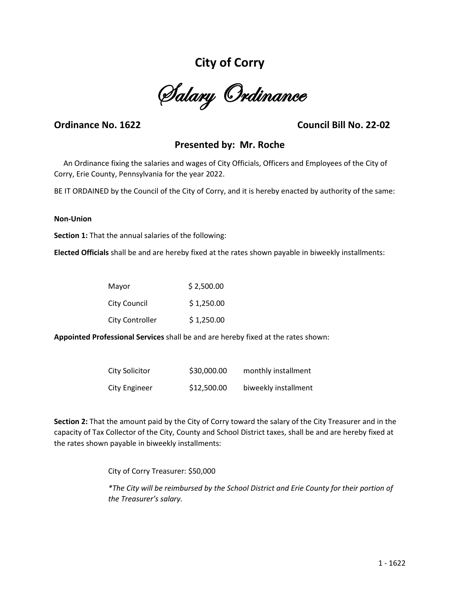# **City of Corry**

Salary Ordinance

# **Ordinance No. 1622 Council Bill No. 22-02**

# **Presented by: Mr. Roche**

 An Ordinance fixing the salaries and wages of City Officials, Officers and Employees of the City of Corry, Erie County, Pennsylvania for the year 2022.

BE IT ORDAINED by the Council of the City of Corry, and it is hereby enacted by authority of the same:

#### **Non-Union**

**Section 1:** That the annual salaries of the following:

**Elected Officials** shall be and are hereby fixed at the rates shown payable in biweekly installments:

| Mayor                  | \$2,500.00 |
|------------------------|------------|
| City Council           | \$1,250.00 |
| <b>City Controller</b> | \$1,250.00 |

**Appointed Professional Services** shall be and are hereby fixed at the rates shown:

| City Solicitor | \$30,000.00 | monthly installment  |
|----------------|-------------|----------------------|
| City Engineer  | \$12,500.00 | biweekly installment |

**Section 2:** That the amount paid by the City of Corry toward the salary of the City Treasurer and in the capacity of Tax Collector of the City, County and School District taxes, shall be and are hereby fixed at the rates shown payable in biweekly installments:

City of Corry Treasurer: \$50,000

*\*The City will be reimbursed by the School District and Erie County for their portion of the Treasurer's salary.*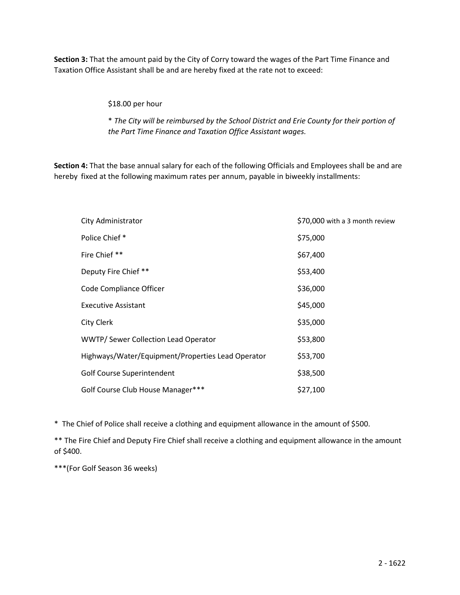**Section 3:** That the amount paid by the City of Corry toward the wages of the Part Time Finance and Taxation Office Assistant shall be and are hereby fixed at the rate not to exceed:

\$18.00 per hour

\* *The City will be reimbursed by the School District and Erie County for their portion of the Part Time Finance and Taxation Office Assistant wages.*

**Section 4:** That the base annual salary for each of the following Officials and Employees shall be and are hereby fixed at the following maximum rates per annum, payable in biweekly installments:

| City Administrator                                | \$70,000 with a 3 month review |
|---------------------------------------------------|--------------------------------|
| Police Chief *                                    | \$75,000                       |
| Fire Chief **                                     | \$67,400                       |
| Deputy Fire Chief **                              | \$53,400                       |
| Code Compliance Officer                           | \$36,000                       |
| <b>Executive Assistant</b>                        | \$45,000                       |
| <b>City Clerk</b>                                 | \$35,000                       |
| WWTP/ Sewer Collection Lead Operator              | \$53,800                       |
| Highways/Water/Equipment/Properties Lead Operator | \$53,700                       |
| Golf Course Superintendent                        | \$38,500                       |
| Golf Course Club House Manager***                 | \$27,100                       |

\* The Chief of Police shall receive a clothing and equipment allowance in the amount of \$500.

\*\* The Fire Chief and Deputy Fire Chief shall receive a clothing and equipment allowance in the amount of \$400.

\*\*\*(For Golf Season 36 weeks)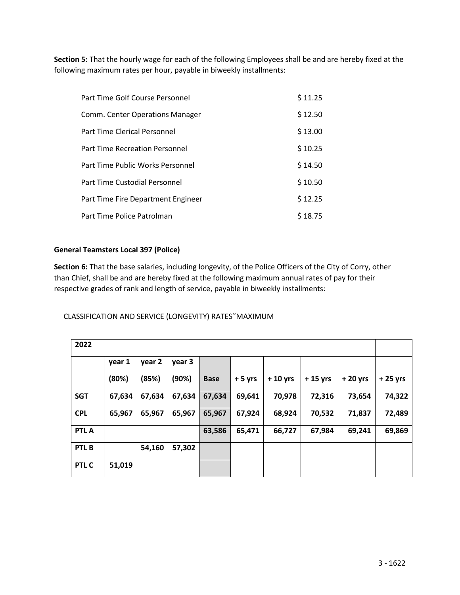**Section 5:** That the hourly wage for each of the following Employees shall be and are hereby fixed at the following maximum rates per hour, payable in biweekly installments:

| Part Time Golf Course Personnel       | \$11.25 |
|---------------------------------------|---------|
| Comm. Center Operations Manager       | \$12.50 |
| Part Time Clerical Personnel          | \$13.00 |
| <b>Part Time Recreation Personnel</b> | \$10.25 |
| Part Time Public Works Personnel      | \$14.50 |
| Part Time Custodial Personnel         | \$10.50 |
| Part Time Fire Department Engineer    | \$12.25 |
| Part Time Police Patrolman            | \$18.75 |

# **General Teamsters Local 397 (Police)**

**Section 6:** That the base salaries, including longevity, of the Police Officers of the City of Corry, other than Chief, shall be and are hereby fixed at the following maximum annual rates of pay for their respective grades of rank and length of service, payable in biweekly installments:

## CLASSIFICATION AND SERVICE (LONGEVITY) RATES˜MAXIMUM

| 2022             |        |        |        |             |          |           |           |           |           |
|------------------|--------|--------|--------|-------------|----------|-----------|-----------|-----------|-----------|
|                  | year 1 | year 2 | year 3 |             |          |           |           |           |           |
|                  | (80%)  | (85%)  | (90%)  | <b>Base</b> | $+5$ yrs | $+10$ yrs | $+15$ yrs | $+20$ yrs | $+25$ yrs |
| <b>SGT</b>       | 67,634 | 67,634 | 67,634 | 67,634      | 69,641   | 70,978    | 72,316    | 73,654    | 74,322    |
| <b>CPL</b>       | 65,967 | 65,967 | 65,967 | 65,967      | 67,924   | 68,924    | 70,532    | 71,837    | 72,489    |
| <b>PTLA</b>      |        |        |        | 63,586      | 65,471   | 66,727    | 67,984    | 69,241    | 69,869    |
| PTL <sub>B</sub> |        | 54,160 | 57,302 |             |          |           |           |           |           |
| PTL C            | 51,019 |        |        |             |          |           |           |           |           |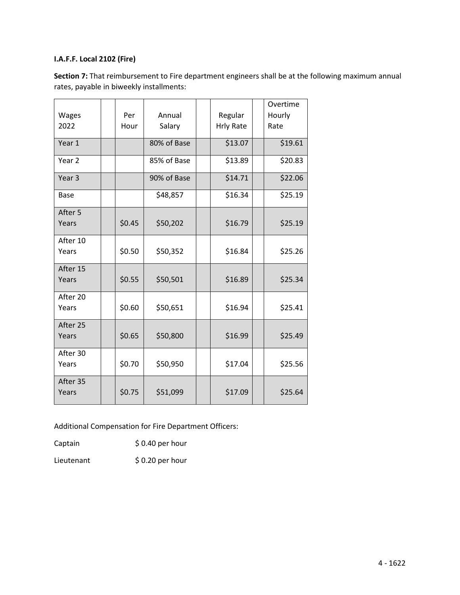# **I.A.F.F. Local 2102 (Fire)**

| Wages<br>2022     | Per<br>Hour | Annual<br>Salary | Regular<br><b>Hrly Rate</b> | Overtime<br>Hourly<br>Rate |
|-------------------|-------------|------------------|-----------------------------|----------------------------|
| Year 1            |             | 80% of Base      | \$13.07                     | \$19.61                    |
| Year <sub>2</sub> |             | 85% of Base      | \$13.89                     | \$20.83                    |
| Year <sub>3</sub> |             | 90% of Base      | \$14.71                     | \$22.06                    |
| <b>Base</b>       |             | \$48,857         | \$16.34                     | \$25.19                    |
| After 5<br>Years  | \$0.45      | \$50,202         | \$16.79                     | \$25.19                    |
| After 10<br>Years | \$0.50      | \$50,352         | \$16.84                     | \$25.26                    |
| After 15<br>Years | \$0.55      | \$50,501         | \$16.89                     | \$25.34                    |
| After 20<br>Years | \$0.60      | \$50,651         | \$16.94                     | \$25.41                    |
| After 25<br>Years | \$0.65      | \$50,800         | \$16.99                     | \$25.49                    |
| After 30<br>Years | \$0.70      | \$50,950         | \$17.04                     | \$25.56                    |
| After 35<br>Years | \$0.75      | \$51,099         | \$17.09                     | \$25.64                    |

**Section 7:** That reimbursement to Fire department engineers shall be at the following maximum annual rates, payable in biweekly installments:

Additional Compensation for Fire Department Officers:

Captain \$ 0.40 per hour

Lieutenant \$ 0.20 per hour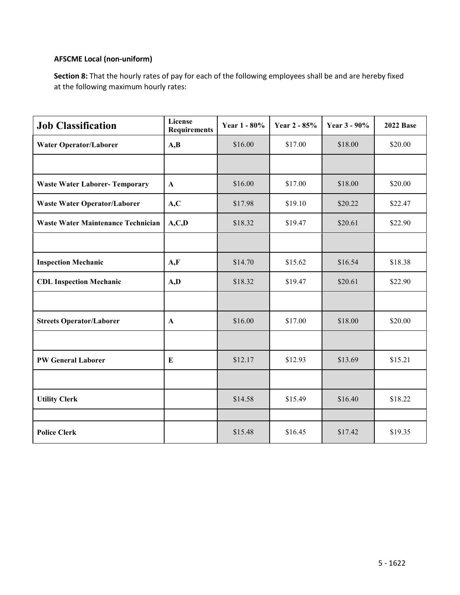# **AFSCME Local (non-uniform)**

**Section 8:** That the hourly rates of pay for each of the following employees shall be and are hereby fixed at the following maximum hourly rates:

| <b>Job Classification</b>                 | License<br><b>Requirements</b> | Year 1 - 80% | Year 2 - 85% | Year 3 - 90% | <b>2022 Base</b> |
|-------------------------------------------|--------------------------------|--------------|--------------|--------------|------------------|
| <b>Water Operator/Laborer</b>             | A,B                            | \$16.00      | \$17.00      | \$18.00      | \$20.00          |
|                                           |                                |              |              |              |                  |
| <b>Waste Water Laborer- Temporary</b>     | $\mathbf{A}$                   | \$16.00      | \$17.00      | \$18.00      | \$20.00          |
| <b>Waste Water Operator/Laborer</b>       | A, C                           | \$17.98      | \$19.10      | \$20.22      | \$22.47          |
| <b>Waste Water Maintenance Technician</b> | A, C, D                        | \$18.32      | \$19.47      | \$20.61      | \$22.90          |
|                                           |                                |              |              |              |                  |
| <b>Inspection Mechanic</b>                | A, F                           | \$14.70      | \$15.62      | \$16.54      | \$18.38          |
| <b>CDL Inspection Mechanic</b>            | A, D                           | \$18.32      | \$19.47      | \$20.61      | \$22.90          |
|                                           |                                |              |              |              |                  |
| <b>Streets Operator/Laborer</b>           | $\mathbf A$                    | \$16.00      | \$17.00      | \$18.00      | \$20.00          |
|                                           |                                |              |              |              |                  |
| <b>PW General Laborer</b>                 | E                              | \$12.17      | \$12.93      | \$13.69      | \$15.21          |
|                                           |                                |              |              |              |                  |
| <b>Utility Clerk</b>                      |                                | \$14.58      | \$15.49      | \$16.40      | \$18.22          |
|                                           |                                |              |              |              |                  |
| <b>Police Clerk</b>                       |                                | \$15.48      | \$16.45      | \$17.42      | \$19.35          |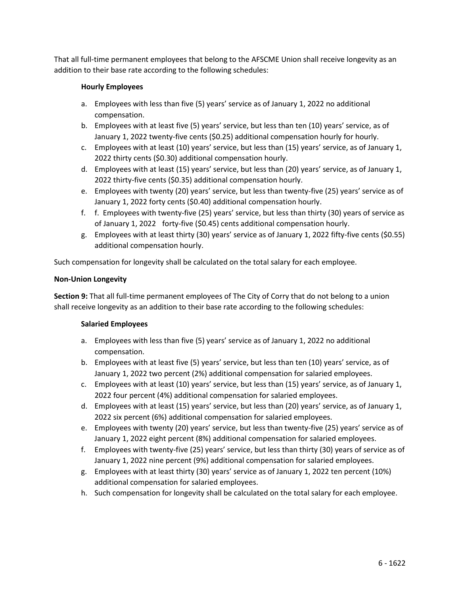That all full-time permanent employees that belong to the AFSCME Union shall receive longevity as an addition to their base rate according to the following schedules:

# **Hourly Employees**

- a. Employees with less than five (5) years' service as of January 1, 2022 no additional compensation.
- b. Employees with at least five (5) years' service, but less than ten (10) years' service, as of January 1, 2022 twenty-five cents (\$0.25) additional compensation hourly for hourly.
- c. Employees with at least (10) years' service, but less than (15) years' service, as of January 1, 2022 thirty cents (\$0.30) additional compensation hourly.
- d. Employees with at least (15) years' service, but less than (20) years' service, as of January 1, 2022 thirty-five cents (\$0.35) additional compensation hourly.
- e. Employees with twenty (20) years' service, but less than twenty-five (25) years' service as of January 1, 2022 forty cents (\$0.40) additional compensation hourly.
- f. f. Employees with twenty-five (25) years' service, but less than thirty (30) years of service as of January 1, 2022 forty-five (\$0.45) cents additional compensation hourly.
- g. Employees with at least thirty (30) years' service as of January 1, 2022 fifty-five cents (\$0.55) additional compensation hourly.

Such compensation for longevity shall be calculated on the total salary for each employee.

## **Non-Union Longevity**

**Section 9:** That all full-time permanent employees of The City of Corry that do not belong to a union shall receive longevity as an addition to their base rate according to the following schedules:

## **Salaried Employees**

- a. Employees with less than five (5) years' service as of January 1, 2022 no additional compensation.
- b. Employees with at least five (5) years' service, but less than ten (10) years' service, as of January 1, 2022 two percent (2%) additional compensation for salaried employees.
- c. Employees with at least (10) years' service, but less than (15) years' service, as of January 1, 2022 four percent (4%) additional compensation for salaried employees.
- d. Employees with at least (15) years' service, but less than (20) years' service, as of January 1, 2022 six percent (6%) additional compensation for salaried employees.
- e. Employees with twenty (20) years' service, but less than twenty-five (25) years' service as of January 1, 2022 eight percent (8%) additional compensation for salaried employees.
- f. Employees with twenty-five (25) years' service, but less than thirty (30) years of service as of January 1, 2022 nine percent (9%) additional compensation for salaried employees.
- g. Employees with at least thirty (30) years' service as of January 1, 2022 ten percent (10%) additional compensation for salaried employees.
- h. Such compensation for longevity shall be calculated on the total salary for each employee.